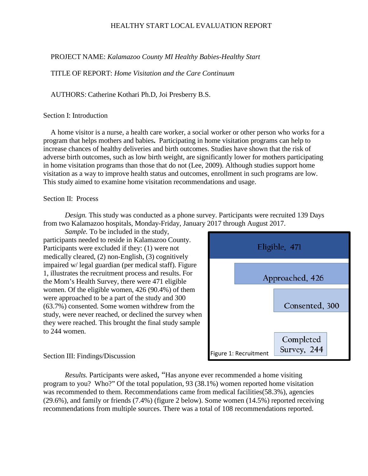PROJECT NAME: *Kalamazoo County MI Healthy Babies-Healthy Start*

TITLE OF REPORT: *Home Visitation and the Care Continuum*

AUTHORS: Catherine Kothari Ph.D, Joi Presberry B.S.

#### Section I: Introduction

A home visitor is a nurse, a health care worker, a social worker or other person who works for a program that helps mothers and babies**.** Participating in home visitation programs can help to increase chances of healthy deliveries and birth outcomes. Studies have shown that the risk of adverse birth outcomes, such as low birth weight, are significantly lower for mothers participating in home visitation programs than those that do not (Lee, 2009). Although studies support home visitation as a way to improve health status and outcomes, enrollment in such programs are low. This study aimed to examine home visitation recommendations and usage.

#### Section II: Process

*Design.* This study was conducted as a phone survey. Participants were recruited 139 Days from two Kalamazoo hospitals, Monday-Friday, January 2017 through August 2017.

*Sample.* To be included in the study, participants needed to reside in Kalamazoo County. Participants were excluded if they: (1) were not medically cleared, (2) non-English, (3) cognitively impaired w/ legal guardian (per medical staff). Figure 1, illustrates the recruitment process and results. For the Mom's Health Survey, there were 471 eligible women. Of the eligible women, 426 (90.4%) of them were approached to be a part of the study and 300 (63.7%) consented. Some women withdrew from the study, were never reached, or declined the survey when they were reached. This brought the final study sample to 244 women.



#### Section III: Findings/Discussion

*Results.* Participants were asked, "Has anyone ever recommended a home visiting program to you? Who?" Of the total population, 93 (38.1%) women reported home visitation was recommended to them. Recommendations came from medical facilities(58.3%), agencies (29.6%), and family or friends (7.4%) (figure 2 below). Some women (14.5%) reported receiving recommendations from multiple sources. There was a total of 108 recommendations reported.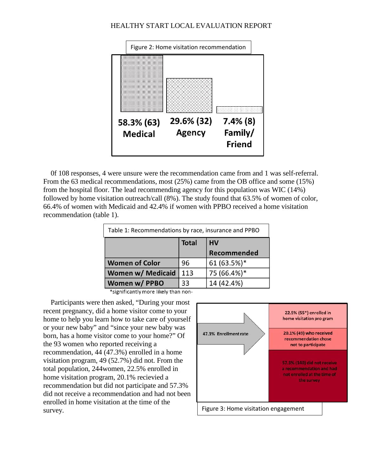

0f 108 responses, 4 were unsure were the recommendation came from and 1 was self-referral. From the 63 medical recommendations, most (25%) came from the OB office and some (15%) from the hospital floor. The lead recommending agency for this population was WIC (14%) followed by home visitation outreach/call (8%). The study found that 63.5% of women of color, 66.4% of women with Medicaid and 42.4% if women with PPBO received a home visitation recommendation (table 1).

| Table 1: Recommendations by race, insurance and PPBO |              |             |  |
|------------------------------------------------------|--------------|-------------|--|
|                                                      | <b>Total</b> | <b>HV</b>   |  |
|                                                      |              | Recommended |  |
| <b>Women of Color</b>                                | 96           | 61 (63.5%)* |  |
| <b>Women w/ Medicaid</b>                             | 113          | 75 (66.4%)* |  |
| Women w/ PPBO                                        | 33           | 14 (42.4%)  |  |

\*significantly more likely than non-

Participants were then asked, "During your most recent pregnancy, did a home visitor come to your home to help you learn how to take care of yourself or your new baby" and "since your new baby was born, has a home visitor come to your home?" Of the 93 women who reported receiving a recommendation, 44 (47.3%) enrolled in a home visitation program, 49 (52.7%) did not. From the total population, 244women, 22.5% enrolled in home visitation program, 20.1% recievied a recommendation but did not participate and 57.3% did not receive a recommendation and had not been enrolled in home visitation at the time of the survey.

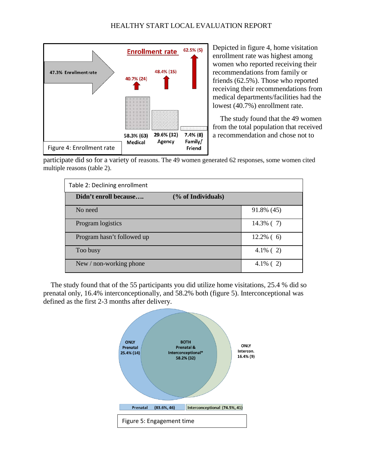

Depicted in figure 4, home visitation enrollment rate was highest among women who reported receiving their recommendations from family or friends (62.5%). Those who reported receiving their recommendations from medical departments/facilities had the lowest (40.7%) enrollment rate.

The study found that the 49 women from the total population that received a recommendation and chose not to

participate did so for a variety of reasons. The 49 women generated 62 responses, some women cited multiple reasons (table 2).

| Table 2: Declining enrollment               |              |  |  |
|---------------------------------------------|--------------|--|--|
| Didn't enroll because<br>(% of Individuals) |              |  |  |
| No need                                     | 91.8% (45)   |  |  |
| Program logistics                           | $14.3\%$ (7) |  |  |
| Program hasn't followed up                  | $12.2\%$ (6) |  |  |
| Too busy                                    | $4.1\%$ (2)  |  |  |
| New / non-working phone                     | $4.1\%$ (2)  |  |  |

The study found that of the 55 participants you did utilize home visitations, 25.4 % did so prenatal only, 16.4% interconceptionally, and 58.2% both (figure 5). Interconceptional was defined as the first 2-3 months after delivery.

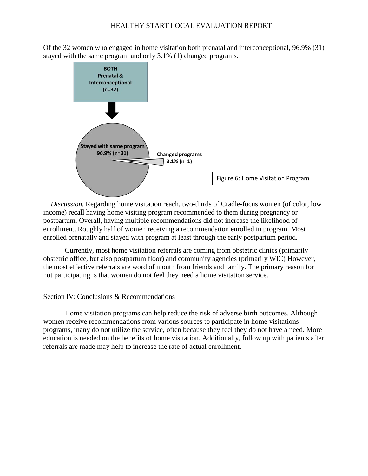Of the 32 women who engaged in home visitation both prenatal and interconceptional, 96.9% (31) stayed with the same program and only 3.1% (1) changed programs.



*Discussion.* Regarding home visitation reach, two-thirds of Cradle-focus women (of color, low income) recall having home visiting program recommended to them during pregnancy or postpartum. Overall, having multiple recommendations did not increase the likelihood of enrollment. Roughly half of women receiving a recommendation enrolled in program. Most enrolled prenatally and stayed with program at least through the early postpartum period.

Currently, most home visitation referrals are coming from obstetric clinics (primarily obstetric office, but also postpartum floor) and community agencies (primarily WIC) However, the most effective referrals are word of mouth from friends and family. The primary reason for not participating is that women do not feel they need a home visitation service.

#### Section IV: Conclusions & Recommendations

Home visitation programs can help reduce the risk of adverse birth outcomes. Although women receive recommendations from various sources to participate in home visitations programs, many do not utilize the service, often because they feel they do not have a need. More education is needed on the benefits of home visitation. Additionally, follow up with patients after referrals are made may help to increase the rate of actual enrollment.